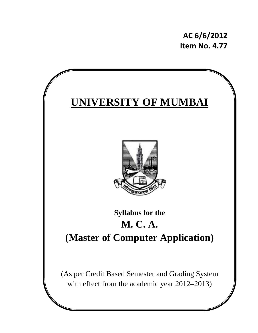**AC 6/6/2012 Item No. 4.77**

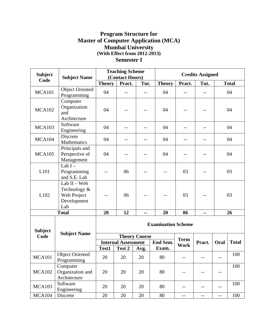## **Program Structure for Master of Computer Application (MCA) Mumbai University (With Effect from 2012-2013) Semester I**

| <b>Subject</b>         | <b>Subject Name</b>                                                 |               | <b>Teaching Scheme</b><br>(Contact Hours) |                      |                           |             | <b>Credits Assigned</b> |                          |              |
|------------------------|---------------------------------------------------------------------|---------------|-------------------------------------------|----------------------|---------------------------|-------------|-------------------------|--------------------------|--------------|
| Code                   |                                                                     | <b>Theory</b> | Pract.                                    | Tut.                 | <b>Theory</b>             | Pract.      | Tut.                    |                          | <b>Total</b> |
| <b>MCA101</b>          | <b>Object Oriented</b><br>Programming                               | 04            | $-$                                       |                      | 04                        |             |                         |                          | 04           |
| <b>MCA102</b>          | Computer<br>Organization<br>and<br>Architecture                     | 04            |                                           |                      | 04                        |             |                         |                          | 04           |
| <b>MCA103</b>          | Software<br>Engineering                                             | 04            | $-$                                       | $- -$                | 04                        | $- -$       | $-$                     |                          | 04           |
| <b>MCA104</b>          | Discrete<br>Mathematics                                             | 04            | $-$                                       | $- -$                | 04                        | $- -$       |                         |                          | 04           |
| <b>MCA105</b>          | Principals and<br>Perspective of<br>Management                      | 04            | --                                        | $- -$                | 04                        | $-$         |                         |                          | 04           |
| L101                   | Lab $I -$<br>Programming<br>and S.E. Lab                            |               | 06                                        | --                   | --                        | 03          | $-$                     |                          | 03           |
| L102                   | Lab $II - Web$<br>Technology &<br>Web Project<br>Development<br>Lab |               | 06                                        |                      |                           | 03          |                         |                          | 03           |
|                        | <b>Total</b>                                                        | 20            | 12                                        | --                   | 20                        | 06          | --                      |                          | 26           |
| <b>Subject</b><br>Code | <b>Subject Name</b>                                                 |               |                                           |                      | <b>Examination Scheme</b> |             |                         |                          |              |
|                        |                                                                     |               | <b>Internal Assessment</b>                | <b>Theory Course</b> | <b>End Sem.</b>           | <b>Term</b> | Pract.                  | Oral                     | <b>Total</b> |
|                        |                                                                     | Test1         | Test 2                                    | Avg.                 | Exam.                     | <b>Work</b> |                         |                          |              |
| <b>MCA101</b>          | <b>Object Oriented</b><br>Programming                               | 20            | 20                                        | 20                   | 80                        | $--$        |                         | $--$                     | 100          |
| <b>MCA102</b>          | Computer<br>Organization and<br>Architecture                        | 20            | 20                                        | 20                   | 80                        | $--$        |                         | $\qquad \qquad -$        | 100          |
| <b>MCA103</b>          | Software<br>Engineering                                             | 20            | 20                                        | 20                   | 80                        | $--$        | $\qquad \qquad -$       | $-$                      | 100          |
| <b>MCA104</b>          | Discrete                                                            | 20            | 20                                        | 20                   | 80                        | --          | $\qquad \qquad -$       | $\overline{\phantom{m}}$ | 100          |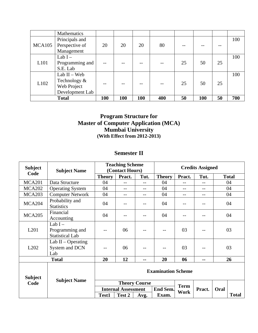|              | Mathematics     |     |     |     |     |    |     |    |     |
|--------------|-----------------|-----|-----|-----|-----|----|-----|----|-----|
|              | Principals and  |     |     |     |     |    |     |    | 100 |
| MCA105       | Perspective of  | 20  | 20  | 20  | 80  |    |     |    |     |
|              | Management      |     |     |     |     |    |     |    |     |
|              | Lab $I -$       |     |     |     |     |    |     |    | 100 |
| L101         | Programming and |     |     |     |     | 25 | 50  | 25 |     |
|              | S.E. Lab        |     |     |     |     |    |     |    |     |
|              | Lab $II - Web$  |     |     |     |     |    |     |    | 100 |
| L102         | Technology $\&$ |     |     |     |     | 25 | 50  | 25 |     |
|              | Web Project     |     |     |     |     |    |     |    |     |
|              | Development Lab |     |     |     |     |    |     |    |     |
| <b>Total</b> |                 | 100 | 100 | 100 | 400 | 50 | 100 | 50 | 700 |

## **Program Structure for Master of Computer Application (MCA) Mumbai University (With Effect from 2012-2013)**

### **Semester II**

| <b>Subject</b>    | <b>Subject Name</b>                                    |                            | <b>Teaching Scheme</b><br>(Contact Hours) |                      |               |             | <b>Credits Assigned</b> |      |              |
|-------------------|--------------------------------------------------------|----------------------------|-------------------------------------------|----------------------|---------------|-------------|-------------------------|------|--------------|
| Code              |                                                        | <b>Theory</b>              | Pract.                                    | Tut.                 | <b>Theory</b> | Pract.      | Tut.                    |      | <b>Total</b> |
| <b>MCA201</b>     | Data Structure                                         | 04                         | $- -$                                     | $-$                  | 04            | $- -$       | $-1$                    |      | 04           |
| <b>MCA202</b>     | <b>Operating System</b>                                | 04                         | $- -$                                     | $-$                  | 04            | $-$         | $-$                     | 04   |              |
| <b>MCA203</b>     | <b>Computer Network</b>                                | 04                         | $- -$                                     | $-$                  | 04            | $- -$<br>-- |                         |      | 04           |
| <b>MCA204</b>     | Probability and<br><b>Statistics</b>                   | 04                         |                                           | $-1$                 | 04            | $- -$       |                         |      | 04           |
| <b>MCA205</b>     | Financial<br>Accounting                                | 04                         |                                           |                      | 04            |             |                         |      | 04           |
| L201              | Lab $I -$<br>Programming and<br><b>Statistical Lab</b> |                            | 06                                        |                      |               | 03          |                         |      | 03           |
| L <sub>2</sub> 02 | Lab $II$ – Operating<br>System and DCN<br>Lab          |                            | 06                                        |                      |               | 03          |                         |      | 03           |
|                   | <b>Total</b>                                           | 20                         | 12                                        | --                   | 20            | 06          | --                      |      | 26           |
| <b>Subject</b>    |                                                        | <b>Examination Scheme</b>  |                                           |                      |               |             |                         |      |              |
| Code              | <b>Subject Name</b>                                    |                            |                                           | <b>Theory Course</b> |               | <b>Term</b> |                         |      |              |
|                   |                                                        | <b>Internal Assessment</b> |                                           |                      | End Sem.      | Work        | Pract.                  | Oral |              |
|                   |                                                        | Test1                      | Test 2                                    | Avg.                 | Exam.         |             |                         |      | <b>Total</b> |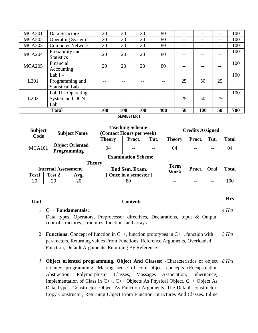| <b>MCA201</b>    | Data Structure                                         | 20  | 20         | 20  | 80 |     |    | --    | 100 |
|------------------|--------------------------------------------------------|-----|------------|-----|----|-----|----|-------|-----|
| <b>MCA202</b>    | <b>Operating System</b>                                | 20  | 20         | 20  | 80 | --  |    | --    | 100 |
| <b>MCA203</b>    | <b>Computer Network</b>                                | 20  | 20         | 20  | 80 | --  |    | $- -$ | 100 |
| <b>MCA204</b>    | Probability and<br><b>Statistics</b>                   | 20  | 20         | 20  | 80 |     |    |       | 100 |
| <b>MCA205</b>    | Financial<br>Accounting                                | 20  | 20         | 20  | 80 |     |    |       | 100 |
| L201             | Lab $I -$<br>Programming and<br><b>Statistical Lab</b> |     |            |     |    | 25  | 50 | 25    | 100 |
| L <sub>202</sub> | Lab $II$ – Operating<br>System and DCN<br>Lab          | --  |            |     |    | 25  | 50 | 25    | 100 |
|                  | 100                                                    | 100 | <b>100</b> | 400 | 50 | 100 | 50 | 700   |     |

**SEMESTER I**

| <b>Subject</b><br>Code |        | <b>Subject Name</b>                          | <b>Teaching Scheme</b><br>(Contact Hours per week) |                |       |               | <b>Credits Assigned</b> |      |              |  |
|------------------------|--------|----------------------------------------------|----------------------------------------------------|----------------|-------|---------------|-------------------------|------|--------------|--|
|                        |        |                                              | <b>Theory</b>                                      | Pract.         | Tut.  | <b>Theory</b> | Pract.                  | Tut. | <b>Total</b> |  |
| <b>MCA101</b>          |        | <b>Object Oriented</b><br><b>Programming</b> | 04                                                 |                | $- -$ | 04            |                         | $ -$ | 04           |  |
|                        |        |                                              | <b>Examination Scheme</b>                          |                |       |               |                         |      |              |  |
|                        |        |                                              | <b>Theory</b>                                      |                |       | <b>Term</b>   |                         |      |              |  |
|                        |        | <b>Internal Assessment</b>                   |                                                    | End Sem. Exam. |       | Work          | Pract.                  | Oral | <b>Total</b> |  |
| Test1                  | Test 2 | Avg.                                         | [Once in a semester]                               |                |       |               |                         |      |              |  |
| 20                     | 20     | 20                                           | 80                                                 |                |       |               |                         |      | 100          |  |

## **Unit Contents Hrs**

### 1 **C++ Fundamentals:**

Data types, Operators, Preprocessor directives, Declarations, Input & Output, control structures, structures, functions and arrays.

- 2 **Functions:** Concept of function in C++, function prototypes in C++, function with parameters, Returning values From Functions. Reference Arguments, Overloaded Function, Default Arguments. Returning By Reference. *3 Hrs*
- 3 **Object oriented programming, Object And Classes: -**Characteristics of object *8 Hrs*oriented programming, Making sense of core object concepts (Encapsulation Abstraction, Polymorphism, Classes, Massages Association, Inheritance) Implementation of Class in C++, C++ Objects As Physical Object, C++ Object As Data Types, Constructor, Object As Function Arguments. The Default constructor, Copy Constructor, Returning Object From Function. Structures And Classes. Inline

*4 Hrs*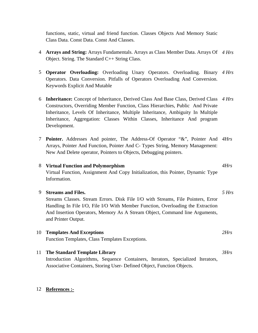functions, static, virtual and friend function. Classes Objects And Memory Static Class Data. Const Data. Const And Classes.

- 4 **Arrays and String:** Arrays Fundamentals. Arrays as Class Member Data. Arrays Of *4 Hrs* Object. String. The Standard C++ String Class.
- 5 **Operator Overloading:** Overloading Unary Operators. Overloading. Binary *4 Hrs* Operators. Data Conversion. Pitfalls of Operators Overloading And Conversion. Keywords Explicit And Mutable
- 6 **Inheritance:** Concept of Inheritance, Derived Class And Base Class, Derived Class *4 Hrs* Constructors, Overriding Member Function, Class Hierarchies, Public And Private Inheritance, Levels Of Inheritance, Multiple Inheritance, Ambiguity In Multiple Inheritance, Aggregation: Classes Within Classes, Inheritance And program Development.
- 7 **Pointer.** Addresses And pointer, The Address-Of Operator "&", Pointer And *4Hrs* Arrays, Pointer And Function, Pointer And C- Types String, Memory Management: New And Delete operator, Pointers to Objects, Debugging pointers.

### 8 **Virtual Function and Polymorphism**

Virtual Function, Assignment And Copy Initialization, this Pointer, Dynamic Type Information.

### 9 **Streams and Files.**  Streams Classes. Stream Errors. Disk File I/O with Streams, File Pointers, Error Handling In File I/O, File I/O With Member Function, Overloading the Extraction And Insertion Operators, Memory As A Stream Object, Command line Arguments, and Printer Output. *5 Hrs* 10 **Templates And Exceptions**  Function Templates, Class Templates Exceptions. *2Hrs*

11 **The Standard Template Library**  Introduction Algorithms, Sequence Containers, Iterators, Specialized Iterators, Associative Containers, Storing User- Defined Object, Function Objects.

### 12 **References :-**

*4Hrs*

*3Hrs*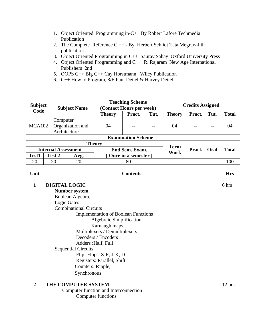- 1. Object Oriented Programming in-C++ By Robert Lafore Techmedia Publication
- 2. The Complete Reference  $C_{++}$  By Herbert Sehlidt Tata Megraw-hill publication
- 3. Object Oriented Programming in C++ Saurav Sahay Oxford University Press
- 4. Object Oriented Programming and C++ R. Rajaram New Age International Publishers 2nd
- 5. OOPS C++ Big C++ Cay Horstmann Wiley Publication
- 6. C++ How to Program, 8/E Paul Deitel & Harvey Deitel

| <b>Subject</b><br>Code |        | <b>Subject Name</b>                          | <b>Teaching Scheme</b><br>(Contact Hours per week) |                      |      |                     | <b>Credits Assigned</b> |      |              |  |
|------------------------|--------|----------------------------------------------|----------------------------------------------------|----------------------|------|---------------------|-------------------------|------|--------------|--|
|                        |        |                                              | <b>Theory</b>                                      | Pract.               | Tut. | <b>Theory</b>       | Pract.                  | Tut. | <b>Total</b> |  |
| <b>MCA102</b>          |        | Computer<br>Organization and<br>Architecture | 04                                                 |                      | $-$  | 04                  |                         | $ -$ | 04           |  |
|                        |        |                                              | <b>Examination Scheme</b>                          |                      |      |                     |                         |      |              |  |
|                        |        |                                              | <b>Theory</b>                                      |                      |      |                     |                         |      |              |  |
|                        |        | <b>Internal Assessment</b>                   |                                                    | End Sem. Exam.       |      | <b>Term</b><br>Work | Pract.                  | Oral | <b>Total</b> |  |
| Test1                  | Test 2 | Avg.                                         |                                                    | [Once in a semester] |      |                     |                         |      |              |  |
| 20                     | 20     | 20                                           |                                                    | 80                   |      |                     |                         |      | 100          |  |

### **Unit Contents Hrs**

**1 DIGITAL LOGIC** 

 **Number system**  Boolean Algebra, Logic Gates Combinational Circuits Implementation of Boolean Functions Algebraic Simplification Karnaugh maps Multiplexers / Demultiplexers Decoders / Encoders Adders :Half, Full Sequential Circuits Flip- Flops: S-R, J-K, D Registers: Parallel, Shift Counters: Ripple, Synchronous

### **2 THE COMPUTER SYSTEM**

 Computer function and Interconnection Computer functions

6 hrs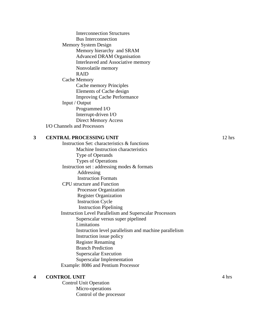Interconnection Structures Bus Interconnection Memory System Design Memory hierarchy and SRAM Advanced DRAM Organisation Interleaved and Associative memory Nonvolatile memory RAID Cache Memory Cache memory Principles Elements of Cache design Improving Cache Performance Input / Output Programmed I/O Interrupt-driven I/O Direct Memory Access I/O Channels and Processors

### **3 CENTRAL PROCESSING UNIT**

 Instruction Set: characteristics & functions Machine Instruction characteristics Type of Operands Types of Operations Instruction set : addressing modes & formats Addressing Instruction Formats CPU structure and Function Processor Organization Register Organization Instruction Cycle Instruction Pipelining Instruction Level Parallelism and Superscalar Processors Superscalar versus super pipelined Limitations Instruction level parallelism and machine parallelism Instruction issue policy Register Renaming Branch Prediction Superscalar Execution Superscalar Implementation Example: 8086 and Pentium Processor

### **4 CONTROL UNIT**

 Control Unit Operation Micro-operations Control of the processor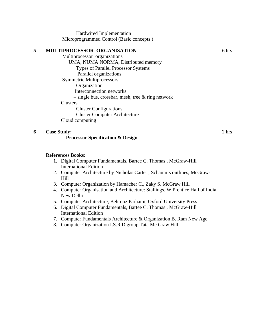Hardwired Implementation Microprogrammed Control (Basic concepts )

### **5 MULTIPROCESSOR ORGANISATION**  Multiprocessor organizations UMA, NUMA NORMA, Distributed memory Types of Parallel Processor Systems Parallel organizations Symmetric Multiprocessors Organization Interconnection networks  $-$  single bus, crossbar, mesh, tree  $\&$  ring network **Clusters**  Cluster Configurations Cluster Computer Architecture Cloud computing **6 Case Study: Processor Specification & Design**

### **References Books:**

- 1. Digital Computer Fundamentals, Bartee C. Thomas , McGraw-Hill International Edition
- 2. Computer Architecture by Nicholas Carter , Schaum's outlines, McGraw-Hill
- 3. Computer Organization by Hamacher C., Zaky S. McGraw Hill
- 4. Computer Organisation and Architecture: Stallings, W Prentice Hall of India, New Delhi
- 5. Computer Architecture, Behrooz Parhami, Oxford University Press
- 6. Digital Computer Fundamentals, Bartee C. Thomas , McGraw-Hill International Edition
- 7. Computer Fundamentals Architecture & Organization B. Ram New Age
- 8. Computer Organization I.S.R.D.group Tata Mc Graw Hill

6 hrs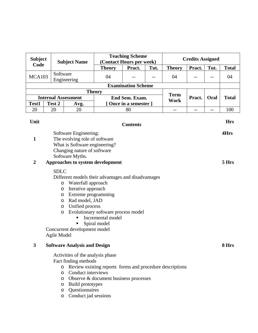| <b>Subject</b><br>Code |                               |                                                                           |                                                          | <b>Teaching Scheme</b>    |      |                     | <b>Credits Assigned</b> |      |              |
|------------------------|-------------------------------|---------------------------------------------------------------------------|----------------------------------------------------------|---------------------------|------|---------------------|-------------------------|------|--------------|
|                        |                               | <b>Subject Name</b>                                                       |                                                          | (Contact Hours per week)  |      |                     |                         |      |              |
|                        | Software                      |                                                                           | <b>Theory</b>                                            | Pract.                    | Tut. | <b>Theory</b>       | Pract.                  | Tut. | <b>Total</b> |
| <b>MCA103</b>          |                               | Engineering                                                               | 04                                                       |                           |      | 04                  |                         | --   | 04           |
|                        |                               |                                                                           |                                                          | <b>Examination Scheme</b> |      |                     |                         |      |              |
|                        |                               |                                                                           | <b>Theory</b>                                            |                           |      |                     |                         |      |              |
|                        | <b>Internal Assessment</b>    |                                                                           |                                                          | End Sem. Exam.            |      | <b>Term</b><br>Work | Pract.                  | Oral | <b>Total</b> |
| Test1                  | Test 2                        | Avg.                                                                      |                                                          | Once in a semester 1      |      |                     |                         |      |              |
| 20                     | 20                            | 20                                                                        |                                                          | 80                        |      | $-$                 | $-$                     | $-$  | 100          |
| Unit                   |                               |                                                                           |                                                          |                           |      |                     |                         |      | <b>Hrs</b>   |
|                        |                               |                                                                           |                                                          | <b>Contents</b>           |      |                     |                         |      |              |
|                        |                               | Software Engineering:                                                     |                                                          |                           |      |                     |                         |      | 4Hrs         |
| 1                      |                               | The evolving role of software                                             |                                                          |                           |      |                     |                         |      |              |
|                        | What is Software engineering? |                                                                           |                                                          |                           |      |                     |                         |      |              |
|                        |                               | Changing nature of software                                               |                                                          |                           |      |                     |                         |      |              |
| $\overline{2}$         |                               | Software Myths.<br>Approaches to system development                       |                                                          |                           |      |                     |                         |      | 5 Hrs        |
|                        |                               |                                                                           |                                                          |                           |      |                     |                         |      |              |
|                        |                               | <b>SDLC</b>                                                               |                                                          |                           |      |                     |                         |      |              |
|                        |                               | Different models their advantages and disadvantages                       |                                                          |                           |      |                     |                         |      |              |
|                        | $\circ$                       | Waterfall approach                                                        |                                                          |                           |      |                     |                         |      |              |
|                        | O<br>O                        | Iterative approach<br>Extreme programming                                 |                                                          |                           |      |                     |                         |      |              |
|                        | $\circ$                       | Rad model, JAD                                                            |                                                          |                           |      |                     |                         |      |              |
|                        | $\circ$                       | Unified process                                                           |                                                          |                           |      |                     |                         |      |              |
|                        | $\circ$                       |                                                                           | Evolutionary software process model                      |                           |      |                     |                         |      |              |
|                        |                               | ٠                                                                         | Incremental model                                        |                           |      |                     |                         |      |              |
|                        |                               |                                                                           | Spiral model                                             |                           |      |                     |                         |      |              |
|                        | Agile Model                   | Concurrent development model                                              |                                                          |                           |      |                     |                         |      |              |
| 3                      |                               | <b>Software Analysis and Design</b>                                       |                                                          |                           |      |                     |                         |      | 8 Hrs        |
|                        |                               |                                                                           |                                                          |                           |      |                     |                         |      |              |
|                        |                               | Activities of the analysis phase                                          |                                                          |                           |      |                     |                         |      |              |
|                        |                               | Fact finding methods                                                      |                                                          |                           |      |                     |                         |      |              |
|                        | $\circ$<br>$\circ$            | Conduct interviews                                                        | Review existing reports forms and procedure descriptions |                           |      |                     |                         |      |              |
|                        |                               |                                                                           |                                                          |                           |      |                     |                         |      |              |
|                        |                               | Observe & document business processes<br>$\circ$<br>Build prototypes<br>O |                                                          |                           |      |                     |                         |      |              |

- o Questionnaires
- o Conduct jad sessions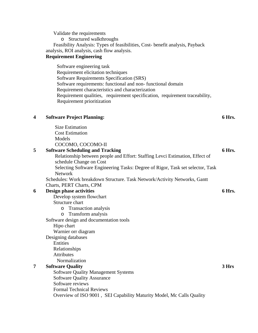Validate the requirements o Structured walkthroughs Feasibility Analysis: Types of feasibilities, Cost- benefit analysis, Payback analysis, ROI analysis, cash flow analysis. **Requirement Engineering**  Software engineering task Requirement elicitation techniques Software Requirements Specification (SRS) Software requirements: functional and non- functional domain Requirement characteristics and characterization Requirement qualities, requirement specification, requirement traceability, Requirement prioritization **4 Software Project Planning:**  Size Estimation Cost Estimation Models COCOMO, COCOMO-II **6 Hrs. 5 Software Scheduling and Tracking**  Relationship between people and Effort: Staffing Levci Estimation, Effect of schedule Change on Cost Selecting Software Engineering Tasks: Degree of Rigor, Task set selector, Task Network Schedules: Work breakdown Structure. Task Network/Activity Networks, Gantt Charts, PERT Charts, CPM **6 Hrs. 6 Design phase activities**  Develop system flowchart Structure chart o Transaction analysis o Transform analysis Software design and documentation tools Hipo chart Warnier orr diagram Designing databases Entities Relationships Attributes Normalization **6 Hrs.** 

### **7 Software Quality**

Software Quality Management Systems Software Quality Assurance Software reviews Formal Technical Reviews Overview of ISO 9001 , SEI Capability Maturity Model, Mc Calls Quality **3 Hrs**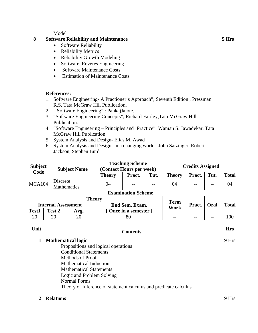Model

### **8 Software Reliability and Maintenance**

- Software Reliability
- Reliability Metrics
- Reliability Growth Modeling
- Software Reveres Engineering
- Software Maintenance Costs
- Estimation of Maintenance Costs

### **References:**

- 1. Software Engineering- A Practioner's Approach", Seventh Edition , Pressman R.S, Tata McGraw Hill Publication.
- 2. " Software Engineering" : PankajJalote.
- 3. "Software Engineering Concepts", Richard Fairley,Tata McGraw Hill Publication.
- 4. "Software Engineering Principles and Practice", Waman S. Jawadekar, Tata McGraw Hill Publication.
- 5. System Analysis and Design- Elias M. Awad
- 6. System Analysis and Design- in a changing world –John Satzinger, Robert Jackson, Stephen Burd

| <b>Subject</b><br>Code |          | <b>Subject Name</b>        | <b>Teaching Scheme</b><br>(Contact Hours per week) |                |      | <b>Credits Assigned</b> |        |       |              |
|------------------------|----------|----------------------------|----------------------------------------------------|----------------|------|-------------------------|--------|-------|--------------|
|                        |          |                            | <b>Theory</b>                                      | Pract.         | Tut. | <b>Theory</b>           | Pract. | Tut.  | <b>Total</b> |
| <b>MCA104</b>          | Discrete | Mathematics                | 04                                                 |                | $-$  | 04                      | $- -$  | $- -$ | 04           |
|                        |          |                            | <b>Examination Scheme</b>                          |                |      |                         |        |       |              |
|                        |          |                            | <b>Theory</b>                                      |                |      | <b>Term</b>             |        |       |              |
|                        |          | <b>Internal Assessment</b> |                                                    | End Sem. Exam. |      | Work                    | Pract. | Oral  | <b>Total</b> |
| <b>Test1</b>           | Test 2   | Avg.                       | [Once in a semester]                               |                |      |                         |        |       |              |
| 20                     | 20       | 20                         | 80                                                 |                |      |                         |        |       | 100          |

## **Unit Contents Hrs**

### **1 Mathematical logic**

 Propositions and logical operations Conditional Statements Methods of Proof Mathematical Induction Mathematical Statements Logic and Problem Solving Normal Forms Theory of Inference of statement calculus and predicate calculus

### **2 Relations** 9 Hrs

9 Hrs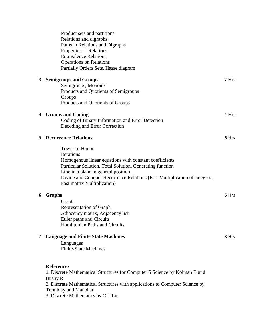|   | Product sets and partitions<br>Relations and digraphs<br>Paths in Relations and Digraphs<br>Properties of Relations<br><b>Equivalence Relations</b><br><b>Operations on Relations</b><br>Partially Orders Sets, Hasse diagram                                                                                        |       |
|---|----------------------------------------------------------------------------------------------------------------------------------------------------------------------------------------------------------------------------------------------------------------------------------------------------------------------|-------|
| 3 | <b>Semigroups and Groups</b>                                                                                                                                                                                                                                                                                         | 7 Hrs |
|   | Semigroups, Monoids<br>Products and Quotients of Semigroups<br>Groups                                                                                                                                                                                                                                                |       |
|   | Products and Quotients of Groups                                                                                                                                                                                                                                                                                     |       |
| 4 | <b>Groups and Coding</b><br>Coding of Binary Information and Error Detection<br>Decoding and Error Correction                                                                                                                                                                                                        | 4 Hrs |
| 5 | <b>Recurrence Relations</b>                                                                                                                                                                                                                                                                                          | 8 Hrs |
|   | <b>Tower of Hanoi</b><br>Iterations<br>Homogenous linear equations with constant coefficients<br>Particular Solution, Total Solution, Generating function<br>Line in a plane in general position<br>Divide and Conquer Recurrence Relations (Fast Multiplication of Integers,<br><b>Fast matrix Multiplication</b> ) |       |
| 6 | Graphs                                                                                                                                                                                                                                                                                                               | 5 Hrs |
|   | Graph<br><b>Representation of Graph</b><br>Adjacency matrix, Adjacency list<br>Euler paths and Circuits<br><b>Hamiltonian Paths and Circuits</b>                                                                                                                                                                     |       |
| 7 | <b>Language and Finite State Machines</b><br>Languages<br><b>Finite-State Machines</b>                                                                                                                                                                                                                               | 3 Hrs |
|   | <b>References</b><br>1. Discrete Mathematical Structures for Computer S Science by Kolman B and<br><b>Bushy R</b><br>2. Discrete Mathematical Structures with applications to Computer Science by<br><b>Tremblay and Manohar</b><br>3. Discrete Mathematics by C L Liu                                               |       |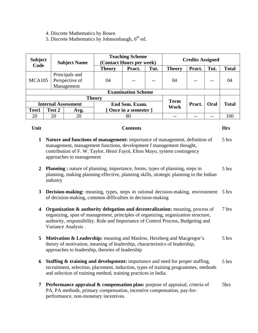- 4. Discrete Mathematics by Rosen
- 5. Discrete Mathematics by Johnsonbaugh, 6<sup>th</sup> ed.

| <b>Subject</b><br>Code |        | <b>Subject Name</b>                            | <b>Teaching Scheme</b><br>(Contact Hours per week) |                      |      |               | <b>Credits Assigned</b> |             |              |  |
|------------------------|--------|------------------------------------------------|----------------------------------------------------|----------------------|------|---------------|-------------------------|-------------|--------------|--|
|                        |        |                                                | <b>Theory</b>                                      | Pract.               | Tut. | <b>Theory</b> | Pract.                  | Tut.        | <b>Total</b> |  |
| MCA <sub>105</sub>     |        | Principals and<br>Perspective of<br>Management | 04                                                 |                      | $ -$ | 04            |                         |             | 04           |  |
|                        |        |                                                | <b>Examination Scheme</b>                          |                      |      |               |                         |             |              |  |
|                        |        |                                                | <b>Theory</b>                                      |                      |      | <b>Term</b>   |                         |             |              |  |
|                        |        | <b>Internal Assessment</b>                     |                                                    | End Sem. Exam.       |      | Work          | Pract.                  | <b>Oral</b> | <b>Total</b> |  |
| Test1                  | Test 2 | Avg.                                           |                                                    | Once in a semester 1 |      |               |                         |             |              |  |
| 20                     | 20     | 20                                             |                                                    | 80                   |      |               |                         |             | 100          |  |

### **Unit Contents Hrs**

- **1 Nature and functions of management:** importance of management, definition of management, management functions, development f management thought, contribution of F. W. Taylor, Henri Fayol, Elton Mayo, system contingency approaches to management 5 hrs
- **2 Planning :** nature of planning, importance, forms, types of planning, steps in planning, making planning effective, planning skills, strategic planning in the Indian industry 5 hrs
- **3 Decision-making:** meaning, types, steps in rational decision-making, environment 5 hrs of decision-making, common difficulties in decision-making
- **4 Organization & authority delegation and decentralization:** meaning, process of organizing, span of management, principles of organizing, organization structure, authority, responsibility. Role and Importance of Control Process, Budgeting and Variance Analysis . 7 hrs
- **5 Motivation & Leadership:** meaning and Maslow, Herzberg and Macgregor's theory of motivation, meaning of leadership, characteristics of leadership, approaches to leadership, theories of leadership 5 hrs
- **6 Staffing & training and development:** importance and need for proper staffing, recruitment, selection, placement, induction, types of training programmes, methods and selection of training method, training practices in India. 5 hrs
- **7 Performance appraisal & compensation plan:** purpose of appraisal, criteria of PA, PA methods, primary compensation, incentive compensation, pay-forperformance, non-monetary incentives. 5hrs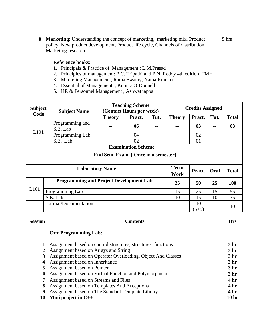**8 Marketing:** Understanding the concept of marketing, marketing mix, Product policy, New product development, Product life cycle, Channels of distribution, Marketing research. 5 hrs

### **Reference books:**

- 1. Principals & Practice of Management : L.M.Prasad
- 2. Principles of management: P.C. Tripathi and P.N. Reddy 4th edition, TMH
- 3. Marketing Management , Rama Swamy, Nama Kumari
- 4. Essential of Management , Koontz O'Donnell
- 5. HR & Personnel Management , Ashwathappa

| <b>Subject</b><br>Code | <b>Subject Name</b>                            |                                      | <b>Teaching Scheme</b><br>(Contact Hours per week) |               | <b>Credits Assigned</b> |               |      |              |  |
|------------------------|------------------------------------------------|--------------------------------------|----------------------------------------------------|---------------|-------------------------|---------------|------|--------------|--|
|                        |                                                | <b>Theory</b>                        | Pract.                                             | Tut.          | <b>Theory</b>           | Pract.        | Tut. | <b>Total</b> |  |
| L101                   | Programming and<br>S.E. Lab                    |                                      | 06                                                 | --            |                         | $\mathbf{03}$ | $-$  | 03           |  |
|                        | Programming Lab                                |                                      | 04                                                 |               |                         | 02            |      |              |  |
|                        | S.E. Lab                                       |                                      | 02                                                 |               |                         | 01            |      |              |  |
|                        |                                                | <b>Examination Scheme</b>            |                                                    |               |                         |               |      |              |  |
|                        |                                                | End Sem. Exam. [ Once in a semester] |                                                    |               |                         |               |      |              |  |
|                        |                                                | <b>Laboratory Name</b>               |                                                    |               | <b>Term</b><br>Work     | Pract.        | Oral | <b>Total</b> |  |
|                        | <b>Programming and Project Development Lab</b> |                                      |                                                    |               | 25                      | 50            | 25   | 100          |  |
| L <sub>101</sub>       | Programming Lab                                |                                      |                                                    |               | 15                      | 25            | 15   | 55           |  |
|                        | S.E. Lab                                       |                                      |                                                    |               | 10                      | 15            | 10   | 35           |  |
|                        | Journal/Documentation                          |                                      |                                                    | 10<br>$(5+5)$ |                         | 10            |      |              |  |

### **Session Contents Hrs**

### **C++ Programming Lab:**

|    | Assignment based on control structures, structures, functions  | 3 <sub>hr</sub>  |
|----|----------------------------------------------------------------|------------------|
|    | 2 Assignment based on Arrays and String                        | 3 <sub>hr</sub>  |
| 3  | Assignment based on Operator Overloading, Object And Classes   | 3 <sub>hr</sub>  |
| 4  | Assignment based on Inheritance                                | 3 <sub>hr</sub>  |
|    | 5 Assignment based on Pointer                                  | 3 <sub>hr</sub>  |
|    | <b>6</b> Assignment based on Virtual Function and Polymorphism | 3 <sub>hr</sub>  |
|    | <b>7</b> Assignment based on Streams and Files                 | 4 <sub>hr</sub>  |
| 8  | Assignment based on Templates And Exceptions                   | 4 <sup>hr</sup>  |
| 9  | Assignment based on The Standard Template Library              | 4 <sup>hr</sup>  |
| 10 | Mini project in $C++$                                          | 10 <sub>hr</sub> |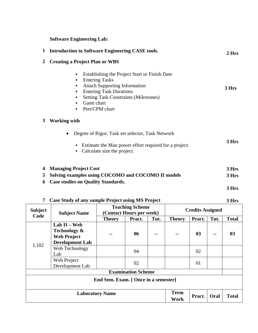## **Software Engineering Lab:**

|                               |                                           | <b>Introduction to Software Engineering CASE tools.</b>                                                                                                                                                            |                         | 2 Hrs |
|-------------------------------|-------------------------------------------|--------------------------------------------------------------------------------------------------------------------------------------------------------------------------------------------------------------------|-------------------------|-------|
| 2                             | <b>Creating a Project Plan or WBS</b>     |                                                                                                                                                                                                                    |                         |       |
|                               | ٠<br>٠<br>Gantt chart<br>٠                | Establishing the Project Start or Finish Date<br><b>Entering Tasks</b><br><b>Attach Supporting Information</b><br><b>Entering Task Durations</b><br><b>Setting Task Constraints (Milestones)</b><br>Pert/CPM chart |                         | 3 Hrs |
| 3                             | <b>Working with</b>                       |                                                                                                                                                                                                                    |                         |       |
|                               | $\bullet$                                 | Degree of Rigor, Task set selector, Task Network                                                                                                                                                                   |                         |       |
|                               |                                           | Estimate the Man power effort required for a project.<br>Calculate size the project.                                                                                                                               |                         | 3 Hrs |
| 4                             | <b>Managing Project Cost</b>              |                                                                                                                                                                                                                    |                         | 3 Hrs |
| 5                             |                                           | Solving examples using COCOMO and COCOMO II models                                                                                                                                                                 |                         | 3 Hrs |
| 6                             | <b>Case studies on Quality Standards.</b> |                                                                                                                                                                                                                    |                         |       |
|                               |                                           |                                                                                                                                                                                                                    |                         | 3 Hrs |
| 7                             |                                           | Case Study of any sample Project using MS Project                                                                                                                                                                  |                         | 3 Hrs |
| ıbject<br>$\Delta \mathbf{A}$ | <b>Subject Name</b>                       | <b>Teaching Scheme</b><br>(Contact Hours per week)                                                                                                                                                                 | <b>Credits Assigned</b> |       |

| <b>Subject</b> | <b>Subject Name</b>                                                                       | Teaching Deneme<br>(Contact Hours per week) |        |       | <b>Credits Assigned</b> |        |      |              |
|----------------|-------------------------------------------------------------------------------------------|---------------------------------------------|--------|-------|-------------------------|--------|------|--------------|
| Code           |                                                                                           | <b>Theory</b>                               | Pract. | Tut.  | <b>Theory</b>           | Pract. | Tut. | <b>Total</b> |
|                | Lab $II - Web$<br><b>Technology &amp;</b><br><b>Web Project</b><br><b>Development Lab</b> | $-$                                         | 06     | $- -$ | --                      | 03     | --   | 03           |
| L102           | Web Technology<br>Lab                                                                     |                                             | 04     |       |                         | 02     |      |              |
|                | Web Project<br>Development Lab                                                            |                                             | 02     |       |                         | 01     |      |              |
|                |                                                                                           | <b>Examination Scheme</b>                   |        |       |                         |        |      |              |
|                |                                                                                           | End Sem. Exam. [ Once in a semester]        |        |       |                         |        |      |              |
|                | <b>Laboratory Name</b>                                                                    |                                             |        |       | <b>Term</b><br>Work     | Pract. | Oral | <b>Total</b> |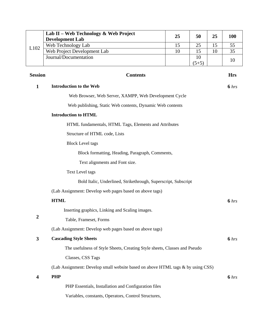|      | Lab II – Web Technology & Web Project<br><b>Development Lab</b> | 25 | 50      | 25 | <b>100</b> |
|------|-----------------------------------------------------------------|----|---------|----|------------|
| L102 | Web Technology Lab                                              |    | 25      |    |            |
|      | Web Project Development Lab                                     | 10 |         | 10 |            |
|      | Journal/Documentation                                           |    | 10      |    |            |
|      |                                                                 |    | $(5+5)$ |    |            |

| <b>Session</b>          | <b>Contents</b>                                                                 | <b>Hrs</b>       |
|-------------------------|---------------------------------------------------------------------------------|------------------|
| $\mathbf{1}$            | <b>Introduction to the Web</b>                                                  | 6 hrs            |
|                         | Web Browser, Web Server, XAMPP, Web Development Cycle                           |                  |
|                         | Web publishing, Static Web contents, Dynamic Web contents                       |                  |
|                         | <b>Introduction to HTML</b>                                                     |                  |
|                         | HTML fundamentals, HTML Tags, Elements and Attributes                           |                  |
|                         | Structure of HTML code, Lists                                                   |                  |
|                         | <b>Block Level tags</b>                                                         |                  |
|                         | Block formatting, Heading, Paragraph, Comments,                                 |                  |
|                         | Text alignments and Font size.                                                  |                  |
|                         | <b>Text Level tags</b>                                                          |                  |
|                         | Bold Italic, Underlined, Strikethrough, Superscript, Subscript                  |                  |
|                         | (Lab Assignment: Develop web pages based on above tags)                         |                  |
|                         | <b>HTML</b>                                                                     | 6 hrs            |
|                         | Inserting graphics, Linking and Scaling images.                                 |                  |
| $\boldsymbol{2}$        | Table, Frameset, Forms                                                          |                  |
|                         | (Lab Assignment: Develop web pages based on above tags)                         |                  |
| $\mathbf{3}$            | <b>Cascading Style Sheets</b>                                                   | 6 <sub>hrs</sub> |
|                         | The usefulness of Style Sheets, Creating Style sheets, Classes and Pseudo       |                  |
|                         | Classes, CSS Tags                                                               |                  |
|                         | (Lab Assignment: Develop small website based on above HTML tags & by using CSS) |                  |
| $\overline{\mathbf{4}}$ | <b>PHP</b>                                                                      | 6 hrs            |
|                         | PHP Essentials, Installation and Configuration files                            |                  |
|                         | Variables, constants, Operators, Control Structures,                            |                  |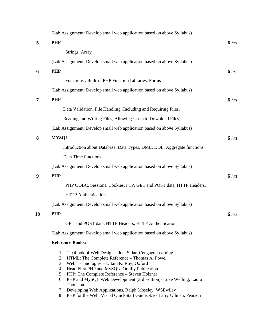|                | (Lab Assignment: Develop small web application based on above Syllabus)                                                                                                                                                                                                                                                                                                                                                                                                                           |       |
|----------------|---------------------------------------------------------------------------------------------------------------------------------------------------------------------------------------------------------------------------------------------------------------------------------------------------------------------------------------------------------------------------------------------------------------------------------------------------------------------------------------------------|-------|
| 5              | <b>PHP</b>                                                                                                                                                                                                                                                                                                                                                                                                                                                                                        | 6 hrs |
|                | Strings, Array                                                                                                                                                                                                                                                                                                                                                                                                                                                                                    |       |
|                | (Lab Assignment: Develop small web application based on above Syllabus)                                                                                                                                                                                                                                                                                                                                                                                                                           |       |
| 6              | <b>PHP</b>                                                                                                                                                                                                                                                                                                                                                                                                                                                                                        | 6 hrs |
|                | Functions, Built-in PHP Function Libraries, Forms                                                                                                                                                                                                                                                                                                                                                                                                                                                 |       |
|                | (Lab Assignment: Develop small web application based on above Syllabus)                                                                                                                                                                                                                                                                                                                                                                                                                           |       |
| $\overline{7}$ | <b>PHP</b>                                                                                                                                                                                                                                                                                                                                                                                                                                                                                        | 6 hrs |
|                | Data Validation, File Handling (Including and Requiring Files,                                                                                                                                                                                                                                                                                                                                                                                                                                    |       |
|                | Reading and Writing Files, Allowing Users to Download Files)                                                                                                                                                                                                                                                                                                                                                                                                                                      |       |
|                | (Lab Assignment: Develop small web application based on above Syllabus)                                                                                                                                                                                                                                                                                                                                                                                                                           |       |
| 8              | <b>MYSQL</b>                                                                                                                                                                                                                                                                                                                                                                                                                                                                                      | 6 hrs |
|                | Introduction about Database, Data Types, DML, DDL, Aggregate functions                                                                                                                                                                                                                                                                                                                                                                                                                            |       |
|                | Data Time functions                                                                                                                                                                                                                                                                                                                                                                                                                                                                               |       |
|                | (Lab Assignment: Develop small web application based on above Syllabus)                                                                                                                                                                                                                                                                                                                                                                                                                           |       |
| 9              | <b>PHP</b>                                                                                                                                                                                                                                                                                                                                                                                                                                                                                        | 6 hrs |
|                | PHP ODBC, Sessions, Cookies, FTP, GET and POST data, HTTP Headers,                                                                                                                                                                                                                                                                                                                                                                                                                                |       |
|                | <b>HTTP</b> Authentication                                                                                                                                                                                                                                                                                                                                                                                                                                                                        |       |
|                | (Lab Assignment: Develop small web application based on above Syllabus)                                                                                                                                                                                                                                                                                                                                                                                                                           |       |
| 10             | PHP                                                                                                                                                                                                                                                                                                                                                                                                                                                                                               | 6 hrs |
|                | GET and POST data, HTTP Headers, HTTP Authentication                                                                                                                                                                                                                                                                                                                                                                                                                                              |       |
|                | (Lab Assignment: Develop small web application based on above Syllabus)                                                                                                                                                                                                                                                                                                                                                                                                                           |       |
|                | <b>Reference Books:</b>                                                                                                                                                                                                                                                                                                                                                                                                                                                                           |       |
|                | Textbook of Web Design - Joel Sklar, Cengage Learning<br>1.<br>2. HTML: The Complete Reference - Thomas A. Powel<br>Web Technologies - Uttam K. Roy, Oxford<br>3.<br>4. Head First PHP and MySQL- Oreilly Publication<br>5. PHP: The Complete Reference - Steven Holzner<br>6. PHP and MySQL Web Development (3rd Edition)- Luke Welling, Laura<br>Thomson<br>7. Developing Web Applications, Ralph Moseley, WSEwiley<br>8. PHP for the Web: Visual QuickStart Guide, 4/e - Larry Ullman, Pearson |       |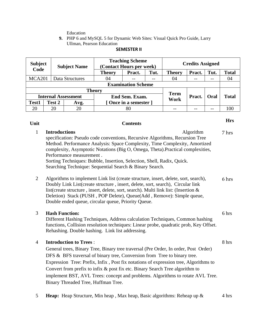Education

**9.** PHP 6 and MySQL 5 for Dynamic Web Sites: Visual Quick Pro Guide, Larry Ullman, Pearson Education

| <b>Subject</b>     |                            | <b>Subject Name</b> | <b>Teaching Scheme</b><br>(Contact Hours per week) |                           |       | <b>Credits Assigned</b> |        |      |              |
|--------------------|----------------------------|---------------------|----------------------------------------------------|---------------------------|-------|-------------------------|--------|------|--------------|
| Code               |                            |                     | <b>Theory</b>                                      | Pract.                    | Tut.  | <b>Theory</b>           | Pract. | Tut. | <b>Total</b> |
| MCA <sub>201</sub> |                            | Data Structures     | 04                                                 |                           | $- -$ | 04                      | --     |      | 04           |
|                    |                            |                     |                                                    | <b>Examination Scheme</b> |       |                         |        |      |              |
|                    |                            |                     | <b>Theory</b>                                      |                           |       |                         |        |      |              |
|                    | <b>Internal Assessment</b> |                     |                                                    | End Sem. Exam.            |       | <b>Term</b><br>Work     | Pract. | Oral | <b>Total</b> |
| Test1              | Test 2                     | Avg.                | [Once in a semester]                               |                           |       |                         |        |      |              |
| 20                 | 20                         | 20                  |                                                    | 80                        |       |                         |        |      | 100          |

### **SEMESTER II**

## **Unit Contents Hrs**

8 hrs

| $\mathbf{1}$   | <b>Introductions</b><br>Algorithm                                                                                                                                                                                                                                                                                                                                                                 | 7 hrs |
|----------------|---------------------------------------------------------------------------------------------------------------------------------------------------------------------------------------------------------------------------------------------------------------------------------------------------------------------------------------------------------------------------------------------------|-------|
|                | specification: Pseudo code conventions, Recursive Algorithms, Recursion Tree                                                                                                                                                                                                                                                                                                                      |       |
|                | Method. Performance Analysis: Space Complexity, Time Complexity, Amortized                                                                                                                                                                                                                                                                                                                        |       |
|                | complexity, Asymptotic Notations (Big O, Omega, Theta). Practical complexities,                                                                                                                                                                                                                                                                                                                   |       |
|                | Performance measurement.                                                                                                                                                                                                                                                                                                                                                                          |       |
|                | Sorting Techniques: Bubble, Insertion, Selection, Shell, Radix, Quick.                                                                                                                                                                                                                                                                                                                            |       |
|                | Searching Technique: Sequential Search & Binary Search.                                                                                                                                                                                                                                                                                                                                           |       |
| $\overline{2}$ | Algorithms to implement Link list (create structure, insert, delete, sort, search),<br>Doubly Link List (create structure, insert, delete, sort, search), Circular link<br>list(create structure, insert, delete, sort, search). Multi link list: (Insertion $\&$<br>Deletion) Stack (PUSH, POP Delete), Queue(Add, Remove): Simple queue,<br>Double ended queue, circular queue, Priority Queue. | 6 hrs |
| 3              | <b>Hash Function:</b><br>Different Hashing Techniques, Address calculation Techniques, Common hashing<br>functions, Collision resolution techniques: Linear probe, quadratic prob, Key Offset.<br>Rehashing. Double hashing. Link list addressing.                                                                                                                                                | 6 hrs |

### 4 **Introduction to Trees** :

General trees, Binary Tree, Binary tree traversal (Pre Order, In order, Post Order) DFS & BFS traversal of binary tree, Conversion from Tree to binary tree. Expression Tree: Prefix, Infix , Post fix notations of expression tree, Algorithms to Convert from prefix to infix & post fix etc. Binary Search Tree algorithm to implement BST, AVL Trees: concept and problems. Algorithms to rotate AVL Tree. Binary Threaded Tree, Huffman Tree.

5 **Heap:** Heap Structure, Min heap , Max heap, Basic algorithms: Reheap up & 4 hrs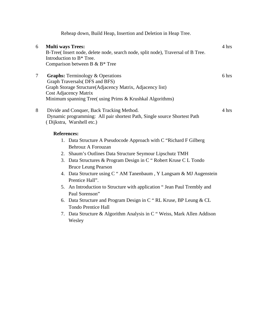|                |                          | Reheap down, Build Heap, Insertion and Deletion in Heap Tree.                                                                                                                                                                      |       |
|----------------|--------------------------|------------------------------------------------------------------------------------------------------------------------------------------------------------------------------------------------------------------------------------|-------|
| 6              | <b>Multi ways Trees:</b> | B-Tree(Insert node, delete node, search node, split node), Traversal of B Tree.<br>Introduction to B <sup>*</sup> Tree.<br>Comparison between B & B* Tree                                                                          | 4 hrs |
| $\overline{7}$ |                          | <b>Graphs:</b> Terminology & Operations<br>Graph Traversals(DFS and BFS)<br>Graph Storage Structure(Adjacency Matrix, Adjacency list)<br><b>Cost Adjacency Matrix</b><br>Minimum spanning Tree( using Prims & Krushkal Algorithms) | 6 hrs |
| 8              |                          | Divide and Conquer, Back Tracking Method.<br>Dynamic programming: All pair shortest Path, Single source Shortest Path<br>(Dijkstra, Warshell etc.)                                                                                 | 4 hrs |
|                | <b>References:</b>       |                                                                                                                                                                                                                                    |       |
|                |                          | 1. Data Structure A Pseudocode Approach with C "Richard F Gilberg"<br>Behrouz A Forouzan<br>2. Shaum's Outlines Data Structure Seymour Lipschutz TMH                                                                               |       |
|                |                          | 3. Data Structures & Program Design in C "Robert Kruse C L Tondo<br><b>Bruce Leung Pearson</b>                                                                                                                                     |       |
|                |                          | 4. Data Structure using C " AM Tanenbaum, Y Langsam & MJ Augenstein<br>Prentice Hall".                                                                                                                                             |       |
|                |                          | 5. An Introduction to Structure with application "Jean Paul Trembly and<br>Paul Sorenson"                                                                                                                                          |       |
|                | 6.                       | Data Structure and Program Design in C "RL Kruse, BP Leung & CL<br><b>Tondo Prentice Hall</b>                                                                                                                                      |       |

7. Data Structure & Algorithm Analysis in C " Weiss, Mark Allen Addison Wesley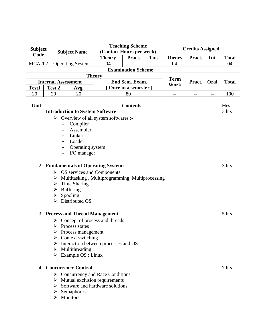| <b>Subject</b> |                            |                                                      | <b>Teaching Scheme</b><br><b>Credits Assigned</b><br>(Contact Hours per week) |                           |      |                     |        |      |              |
|----------------|----------------------------|------------------------------------------------------|-------------------------------------------------------------------------------|---------------------------|------|---------------------|--------|------|--------------|
| Code           |                            | <b>Subject Name</b>                                  |                                                                               |                           |      |                     |        |      |              |
|                |                            |                                                      | <b>Theory</b>                                                                 | Pract.                    | Tut. | <b>Theory</b>       | Pract. | Tut. | <b>Total</b> |
| <b>MCA202</b>  |                            | <b>Operating System</b>                              | 04                                                                            |                           |      | 04                  | --     | --   | 04           |
|                |                            |                                                      |                                                                               | <b>Examination Scheme</b> |      |                     |        |      |              |
|                |                            |                                                      | <b>Theory</b>                                                                 |                           |      |                     |        |      |              |
|                | <b>Internal Assessment</b> |                                                      |                                                                               | End Sem. Exam.            |      | <b>Term</b><br>Work | Pract. | Oral | <b>Total</b> |
| Test1          | Test 2                     | Avg.                                                 |                                                                               | [Once in a semester]      |      |                     |        |      |              |
| 20             | 20                         | 20                                                   |                                                                               | 80                        |      | $-$                 | $-$    | $-$  | 100          |
|                |                            |                                                      |                                                                               |                           |      |                     |        |      |              |
| Unit           |                            |                                                      |                                                                               | <b>Contents</b>           |      |                     |        |      | <b>Hrs</b>   |
| 1              |                            | <b>Introduction to System Software</b>               |                                                                               |                           |      |                     |        |      | 3 hrs        |
|                |                            | $\triangleright$ Overview of all system softwares :- |                                                                               |                           |      |                     |        |      |              |
|                |                            | Compiler                                             |                                                                               |                           |      |                     |        |      |              |
|                |                            | Assembler                                            |                                                                               |                           |      |                     |        |      |              |
|                |                            | Linker                                               |                                                                               |                           |      |                     |        |      |              |
|                |                            | Loader                                               |                                                                               |                           |      |                     |        |      |              |
|                |                            | Operating system                                     |                                                                               |                           |      |                     |        |      |              |
|                |                            | I/O manager                                          |                                                                               |                           |      |                     |        |      |              |
|                |                            |                                                      |                                                                               |                           |      |                     |        |      |              |
| $\overline{2}$ |                            | <b>Fundamentals of Operating System:-</b>            |                                                                               |                           |      |                     |        |      | 3 hrs        |
|                |                            | $\triangleright$ OS services and Components          |                                                                               |                           |      |                     |        |      |              |
|                | ➤                          | Multitasking, Multiprogramming, Multiprocessing      |                                                                               |                           |      |                     |        |      |              |
|                | ➤                          | Time Sharing                                         |                                                                               |                           |      |                     |        |      |              |
|                | ➤                          | <b>Buffering</b>                                     |                                                                               |                           |      |                     |        |      |              |
|                | ➤                          | Spooling                                             |                                                                               |                           |      |                     |        |      |              |
|                | ➤                          | Distributed OS                                       |                                                                               |                           |      |                     |        |      |              |
|                |                            |                                                      |                                                                               |                           |      |                     |        |      |              |
| 3              |                            | <b>Process and Thread Management</b>                 |                                                                               |                           |      |                     |        |      | 5 hrs        |
|                | ➤                          | Concept of process and threads                       |                                                                               |                           |      |                     |        |      |              |
|                | ➤                          | Process states                                       |                                                                               |                           |      |                     |        |      |              |
|                |                            | Process management                                   |                                                                               |                           |      |                     |        |      |              |
|                |                            | $\triangleright$ Context switching                   |                                                                               |                           |      |                     |        |      |              |
|                | ➤                          | Interaction between processes and OS                 |                                                                               |                           |      |                     |        |      |              |
|                | ➤                          | Multithreading                                       |                                                                               |                           |      |                     |        |      |              |
|                |                            | $\triangleright$ Example OS : Linux                  |                                                                               |                           |      |                     |        |      |              |
|                |                            |                                                      |                                                                               |                           |      |                     |        |      |              |
| 4              |                            | <b>Concurrency Control</b>                           |                                                                               |                           |      |                     |        |      | 7 hrs        |
|                |                            | $\triangleright$ Concurrency and Race Conditions     |                                                                               |                           |      |                     |        |      |              |
|                |                            | $\triangleright$ Mutual exclusion requirements       |                                                                               |                           |      |                     |        |      |              |
|                | ➤                          | Software and hardware solutions                      |                                                                               |                           |      |                     |        |      |              |
|                | ➤                          | Semaphores                                           |                                                                               |                           |      |                     |        |      |              |
|                | ➤                          | Monitors                                             |                                                                               |                           |      |                     |        |      |              |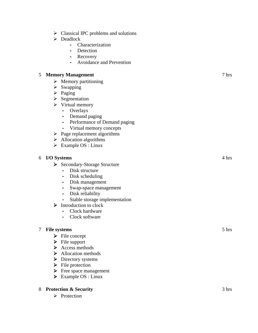- $\triangleright$  Classical IPC problems and solutions
- $\triangleright$  Deadlock
	- Characterization
	- Detection
	- Recovery
	- Avoidance and Prevention

### 5 **Memory Management**

- $\triangleright$  Memory partitioning
- $\triangleright$  Swapping
- $\triangleright$  Paging
- $\triangleright$  Segmentation
- $\triangleright$  Virtual memory
	- Overlays
	- Demand paging
	- Performance of Demand paging
	- Virtual memory concepts
- $\triangleright$  Page replacement algorithms
- $\triangleright$  Allocation algorithms
- $\triangleright$  Example OS : Linux

### 6 **I/O Systems**

- ¾ Secondary-Storage Structure
	- Disk structure
	- Disk scheduling
	- Disk management
	- Swap-space management
	- Disk reliability
	- Stable storage implementation
- $\triangleright$  Introduction to clock
	- Clock hardware
	- Clock software

### 7 **File systems**

- $\triangleright$  File concept
- $\triangleright$  File support
- $\triangleright$  Access methods
- ¾ Allocation methods
- **▶** Directory systems
- $\triangleright$  File protection
- $\triangleright$  Free space management
- $\triangleright$  Example OS : Linux

### 8 **Protection & Security**

 $\triangleright$  Protection

# 4 hrs

7 hrs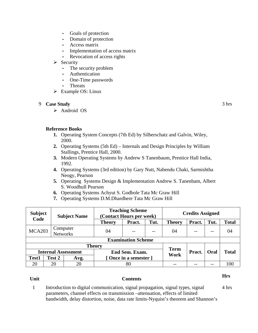- Goals of protection
- Domain of protection
- Access matrix
- Implementation of access matrix
- Revocation of access rights
- $\triangleright$  Security
	- The security problem
	- Authentication
	- One-Time passwords
	- Threats
- $\triangleright$  Example OS: Linux

### 9 **Case Study**

¾ Android OS

3 hrs

### **Reference Books**

- **1.** Operating System Concepts (7th Ed) by Silberschatz and Galvin, Wiley, 2000.
- **2.** Operating Systems (5th Ed) Internals and Design Principles by William Stallings, Prentice Hall, 2000.
- **3.** Modern Operating Systems by Andrew S Tanenbaum, Prentice Hall India, 1992.
- **4.** Operating Systems (3rd edition) by Gary Nutt, Nabendu Chaki, Sarmishtha Neogy, Pearson
- **5.** Operating Systems Design & Implementation Andrew S. Tanenbam, Albert S. Woodhull Pearson
- **6.** Operating Systems Achyut S. Godbole Tata Mc Graw Hill
- **7.** Operating Systems D.M.Dhardhere Tata Mc Graw Hill

| <b>Subject</b><br>Code     |        | <b>Subject Name</b>  | <b>Teaching Scheme</b><br>(Contact Hours per week) |                            | <b>Credits Assigned</b> |               |              |       |              |
|----------------------------|--------|----------------------|----------------------------------------------------|----------------------------|-------------------------|---------------|--------------|-------|--------------|
|                            |        |                      | <b>Theory</b>                                      | Pract.                     | Tut.                    | <b>Theory</b> | Pract.       | Tut.  | <b>Total</b> |
| <b>MCA203</b>              |        | Computer<br>Networks | 04                                                 | --                         | $- -$                   | 04            |              | $- -$ | 04           |
|                            |        |                      | <b>Examination Scheme</b>                          |                            |                         |               |              |       |              |
|                            |        |                      | <b>Theory</b>                                      |                            |                         | <b>Term</b>   |              |       |              |
| <b>Internal Assessment</b> |        | End Sem. Exam.       |                                                    | Work                       | Pract.                  | Oral          | <b>Total</b> |       |              |
| <b>Test1</b>               | Test 2 | Avg.                 |                                                    | [Once in a semester]<br>80 |                         |               |              |       |              |
| 20                         | 20     | 20                   |                                                    |                            |                         |               |              |       | 100          |

## **Unit Contents Hrs**

1 Introduction to digital communication, signal propagation, signal types, signal parameters, channel effects on transmission –attenuation, effects of limited bandwidth, delay distortion, noise, data rate limits-Nyquist's theorem and Shannon's 4 hrs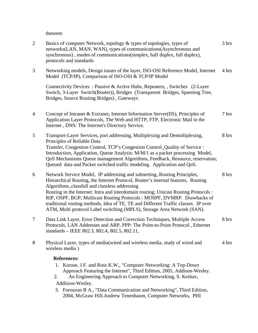theorem

| $\overline{2}$ | Basics of computer Network, topology & types of topologies, types of<br>networks(LAN, MAN, WAN), types of communications(Asynchronous and<br>synchronous), modes of communications(simplex, half duplex, full duplex),<br>protocols and standards                                                                                                                                                                                                                                                                                                  | 3 hrs |
|----------------|----------------------------------------------------------------------------------------------------------------------------------------------------------------------------------------------------------------------------------------------------------------------------------------------------------------------------------------------------------------------------------------------------------------------------------------------------------------------------------------------------------------------------------------------------|-------|
| 3              | Networking models, Design issues of the layer, ISO-OSI Reference Model, Internet<br>Model (TCP/IP), Comparison of ISO-OSI & TCP/IP Model                                                                                                                                                                                                                                                                                                                                                                                                           | 4 hrs |
|                | Connectivity Devices: Passive & Active Hubs, Repeaters, , Switches (2-Layer<br>Switch, 3-Layer Switch(Router)), Bridges (Transparent Bridges, Spanning Tree,<br>Bridges, Source Routing Bridges), Gateways                                                                                                                                                                                                                                                                                                                                         |       |
| 4              | Concept of Intranet & Extranet, Internet Information Server(IIS), Principles of<br>Application Layer Protocols, The Web and HTTP, FTP, Electronic Mail in the<br>Internet, DNS: The Internet's Directory Service.                                                                                                                                                                                                                                                                                                                                  | 7 hrs |
| 5              | Transport-Layer Services, port addressing, Multiplexing and Demultiplexing,<br>Principles of Reliable Data<br>Transfer, Congestion Control, TCP's Congestion Control. Quality of Service :<br>Introduction, Application, Queue Analysis: M/M/1 as a packet processing Model,<br>QoS Mechanisms Queue management Algorithms, Feedback, Resource, reservation;<br>Queued data and Packet switched traffic modeling. Application and QoS.                                                                                                             | 8 hrs |
| 6              | Network Service Model, IP addressing and subnetting, Routing Principles,<br>Hierarchical Routing, the Internet Protocol, Router's internal features, Routing<br>Algorithms., classfull and classless addressing<br>Routing in the Internet: Intra and interdomain routing; Unicast Routing Protocols :<br>RIP, OSPF, BGP; Multicast Routing Protocols: MOSPF, DVMRP. Drawbacks of<br>traditional routing methods, Idea of TE, TE and Different Traffic classes. IP over<br>ATM, Multi protocol Label switching (MPLS), Storage Area Network (SAN). | 8 hrs |
| 7              | Data Link Layer, Error Detection and Correction Techniques, Multiple Access<br>Protocols, LAN Addresses and ARP, PPP: The Point-to-Point Protocol, Ethernet<br>standards – IEEE 802.3, 802.4, 802.5, 802.11,                                                                                                                                                                                                                                                                                                                                       | 8 hrs |
| 8              | Physical Layer, types of media(wired and wireless media, study of wired and<br>wireless media)                                                                                                                                                                                                                                                                                                                                                                                                                                                     | 4 hrs |
|                | <b>References:</b><br>1. Kurose, J.F. and Ross K.W., "Computer Networking: A Top-Down<br>Approach Featuring the Internet", Third Edition, 2005, Addison-Wesley.<br>An Engineering Approach to Computer Networking, S. Keshav,<br>2.<br>Addision-Wesley.<br>3. Forouzan B A., "Data Communication and Networking", Third Edition,<br>2004, McGraw Hill.Andrew Tenenbaum, Computer Networks, PHI                                                                                                                                                     |       |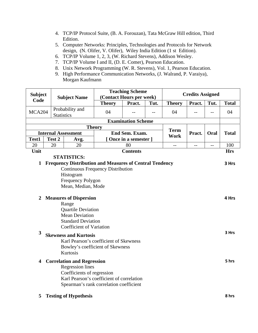- 4. TCP/IP Protocol Suite, (B. A. Forouzan), Tata McGraw Hill edition, Third Edition.
- 5. Computer Networks: Principles, Technologies and Protocols for Network design, (N. Olifer, V. Olifer), Wiley India Edition (1 st Edition).
- 6. TCP/IP Volume 1, 2, 3, (W. Richard Stevens), Addison Wesley.
- 7. TCP/IP Volume I and II, (D. E. Comer), Pearson Education.
- 8. Unix Network Programming (W. R. Stevens), Vol. 1, Pearson Education.
- 9. High Performance Communication Networks, (J. Walrand, P. Varaiya), Morgan Kaufmann

| <b>Subject</b>          |                                      | <b>Subject Name</b>                                                    | <b>Teaching Scheme</b><br><b>Credits Assigned</b><br>(Contact Hours per week) |                           |      |               |        |      |              |
|-------------------------|--------------------------------------|------------------------------------------------------------------------|-------------------------------------------------------------------------------|---------------------------|------|---------------|--------|------|--------------|
| Code                    |                                      |                                                                        | <b>Theory</b>                                                                 | Pract.                    | Tut. | <b>Theory</b> | Pract. | Tut. | <b>Total</b> |
| <b>MCA204</b>           | Probability and<br><b>Statistics</b> |                                                                        | 04                                                                            |                           |      | 04            | $-1$   | $-$  | 04           |
|                         |                                      |                                                                        |                                                                               | <b>Examination Scheme</b> |      |               |        |      |              |
|                         |                                      |                                                                        | <b>Theory</b>                                                                 |                           |      | <b>Term</b>   |        |      |              |
|                         | <b>Internal Assessment</b>           |                                                                        |                                                                               | End Sem. Exam.            |      | <b>Work</b>   | Pract. | Oral | <b>Total</b> |
| Test1                   | Test 2                               | Avg.                                                                   |                                                                               | Once in a semester ]      |      |               |        |      |              |
| 20                      | 20                                   | 20                                                                     |                                                                               | 80                        |      | $-$           | --     | $-$  | 100          |
| Unit                    |                                      |                                                                        |                                                                               | <b>Contents</b>           |      |               |        |      | <b>Hrs</b>   |
|                         |                                      | <b>STATISTICS:</b>                                                     |                                                                               |                           |      |               |        |      |              |
| $\mathbf{1}$            |                                      | <b>Frequency Distribution and Measures of Central Tendency</b>         |                                                                               |                           |      |               |        |      | 3 Hrs        |
|                         |                                      | <b>Continuous Frequency Distribution</b>                               |                                                                               |                           |      |               |        |      |              |
|                         |                                      | Histogram                                                              |                                                                               |                           |      |               |        |      |              |
|                         |                                      | Frequency Polygon<br>Mean, Median, Mode                                |                                                                               |                           |      |               |        |      |              |
|                         |                                      |                                                                        |                                                                               |                           |      |               |        |      |              |
| 2                       |                                      | <b>Measures of Dispersion</b>                                          |                                                                               |                           |      |               |        |      | 4 Hrs        |
|                         |                                      | Range                                                                  |                                                                               |                           |      |               |        |      |              |
|                         |                                      | <b>Quartile Deviation</b>                                              |                                                                               |                           |      |               |        |      |              |
|                         |                                      | <b>Mean Deviation</b>                                                  |                                                                               |                           |      |               |        |      |              |
|                         |                                      | <b>Standard Deviation</b>                                              |                                                                               |                           |      |               |        |      |              |
|                         |                                      | Coefficient of Variation                                               |                                                                               |                           |      |               |        |      |              |
| 3                       |                                      |                                                                        |                                                                               |                           |      |               |        |      | 3 Hrs        |
|                         |                                      | <b>Skewness and Kurtosis</b><br>Karl Pearson's coefficient of Skewness |                                                                               |                           |      |               |        |      |              |
|                         |                                      |                                                                        |                                                                               |                           |      |               |        |      |              |
|                         |                                      | Bowley's coefficient of Skewness<br>Kurtosis                           |                                                                               |                           |      |               |        |      |              |
|                         |                                      |                                                                        |                                                                               |                           |      |               |        |      |              |
| $\overline{\mathbf{4}}$ |                                      | <b>Correlation and Regression</b>                                      |                                                                               |                           |      |               |        |      | 5 hrs        |
|                         |                                      | <b>Regression</b> lines                                                |                                                                               |                           |      |               |        |      |              |
|                         |                                      | Coefficients of regression                                             |                                                                               |                           |      |               |        |      |              |
|                         |                                      | Karl Pearson's coefficient of correlation                              |                                                                               |                           |      |               |        |      |              |
|                         |                                      | Spearman's rank correlation coefficient                                |                                                                               |                           |      |               |        |      |              |
| 5                       |                                      | <b>Testing of Hypothesis</b>                                           |                                                                               |                           |      |               |        |      | 8 hrs        |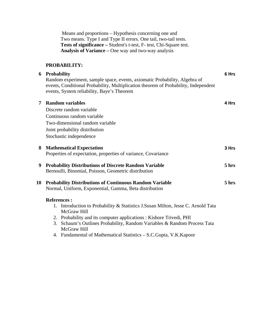Means and proportions – Hypothesis concerning one and Two means. Type I and Type II errors. One tail, two-tail tests. **Tests of significance –** Student's t-test, F- test, Chi-Square test. **Analysis of Variance –** One way and two-way analysis

### **PROBABILITY:**

|    | 6 Probability                                                                       | 6 Hrs |
|----|-------------------------------------------------------------------------------------|-------|
|    | Random experiment, sample space, events, axiomatic Probability, Algebra of          |       |
|    | events, Conditional Probability, Multiplication theorem of Probability, Independent |       |
|    | events, System reliability, Baye's Theorem                                          |       |
|    |                                                                                     |       |
| 7  | <b>Random variables</b>                                                             | 4 Hrs |
|    | Discrete random variable                                                            |       |
|    | Continuous random variable                                                          |       |
|    | Two-dimensional random variable                                                     |       |
|    | Joint probability distribution                                                      |       |
|    | Stochastic independence                                                             |       |
|    |                                                                                     |       |
| 8  | <b>Mathematical Expectation</b>                                                     | 3 Hrs |
|    | Properties of expectation, properties of variance, Covariance                       |       |
|    |                                                                                     |       |
| 9  | <b>Probability Distributions of Discrete Random Variable</b>                        | 5 hrs |
|    | Bernoulli, Binomial, Poisson, Geometric distribution                                |       |
| 10 | <b>Probability Distributions of Continuous Random Variable</b>                      | 5 hrs |
|    | Normal, Uniform, Exponential, Gamma, Beta distribution                              |       |
|    |                                                                                     |       |
|    | <b>References:</b>                                                                  |       |
|    | 1. Introduction to Probability & Statistics J.Susan Milton, Jesse C. Arnold Tata    |       |
|    | McGraw Hill                                                                         |       |
|    | 2. Probability and its computer applications: Kishore Trivedi, PHI                  |       |
|    | Schaum's Outlines Probability, Random Variables & Random Process Tata<br>3.         |       |
|    | McGraw Hill                                                                         |       |
|    | 4. Fundamental of Mathematical Statistics – S.C.Gupta, V.K.Kapoor                   |       |
|    |                                                                                     |       |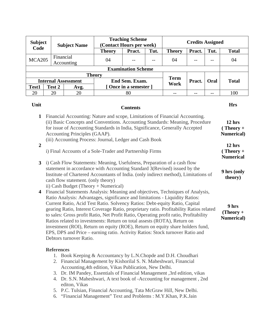| <b>Subject</b><br>Code                                                                                                                                                                                                                                                                            |                                                                                                                                                                                                                                                                                                                                           |        | <b>Subject Name</b> | (Contact Hours per week) | <b>Teaching Scheme</b>    |                                              |                                                         | <b>Credits Assigned</b> |              |     |
|---------------------------------------------------------------------------------------------------------------------------------------------------------------------------------------------------------------------------------------------------------------------------------------------------|-------------------------------------------------------------------------------------------------------------------------------------------------------------------------------------------------------------------------------------------------------------------------------------------------------------------------------------------|--------|---------------------|--------------------------|---------------------------|----------------------------------------------|---------------------------------------------------------|-------------------------|--------------|-----|
|                                                                                                                                                                                                                                                                                                   |                                                                                                                                                                                                                                                                                                                                           |        | <b>Theory</b>       | Pract.                   | Tut.                      | <b>Theory</b>                                | Pract.                                                  | Tut.                    | <b>Total</b> |     |
| <b>MCA205</b>                                                                                                                                                                                                                                                                                     | Financial<br>Accounting                                                                                                                                                                                                                                                                                                                   |        | 04                  |                          |                           | 04                                           |                                                         |                         | 04           |     |
|                                                                                                                                                                                                                                                                                                   |                                                                                                                                                                                                                                                                                                                                           |        |                     |                          | <b>Examination Scheme</b> |                                              |                                                         |                         |              |     |
|                                                                                                                                                                                                                                                                                                   |                                                                                                                                                                                                                                                                                                                                           |        |                     | <b>Theory</b>            |                           |                                              | <b>Term</b>                                             |                         |              |     |
|                                                                                                                                                                                                                                                                                                   | <b>Internal Assessment</b>                                                                                                                                                                                                                                                                                                                |        |                     | End Sem. Exam.           |                           | Work                                         | Pract.                                                  | Oral                    | <b>Total</b> |     |
| Test1                                                                                                                                                                                                                                                                                             |                                                                                                                                                                                                                                                                                                                                           | Test 2 | Avg.                |                          | [Once in a semester]      |                                              |                                                         |                         |              |     |
| 20                                                                                                                                                                                                                                                                                                |                                                                                                                                                                                                                                                                                                                                           | 20     | 20                  |                          | 80                        |                                              | $-$                                                     | --                      | --           | 100 |
| Unit<br><b>Contents</b><br>$\mathbf 1$                                                                                                                                                                                                                                                            |                                                                                                                                                                                                                                                                                                                                           |        |                     |                          |                           |                                              | <b>Hrs</b>                                              |                         |              |     |
|                                                                                                                                                                                                                                                                                                   | Financial Accounting: Nature and scope, Limitations of Financial Accounting.<br>(ii) Basic Concepts and Conventions. Accounting Standards: Meaning, Procedure<br>for issue of Accounting Standards in India, Significance, Generally Accepted<br>Accounting Principles (GAAP).<br>(iii) Accounting Process: Journal, Ledger and Cash Book |        |                     |                          |                           |                                              | 12 <sub>hrs</sub><br>$( Theory +$<br><b>Numerical</b> ) |                         |              |     |
| $\overline{2}$<br>i) Final Accounts of a Sole-Trader and Partnership Firms                                                                                                                                                                                                                        |                                                                                                                                                                                                                                                                                                                                           |        |                     |                          |                           | $12$ hrs<br>$( Theory +$<br><b>Numerical</b> |                                                         |                         |              |     |
| i) Cash Flow Statements: Meaning, Usefulness, Preparation of a cash flow<br>$3^{\circ}$<br>statement in accordance with Accounting Standard 3(Revised) issued by the<br>Institute of Chartered Accountants of India. (only indirect method), Limitations of<br>cash flow statement. (only theory) |                                                                                                                                                                                                                                                                                                                                           |        |                     |                          |                           | 9 hrs (only<br>theory)                       |                                                         |                         |              |     |

- ii) Cash Budget (Theory + Numerical)
- **4** Financial Statements Analysis: Meaning and objectives, Techniques of Analysis, Ratio Analysis: Advantages, significance and limitations - Liquidity Ratios: Current Ratio, Acid Test Ratio. Solvency Ratios: Debt-equity Ratio, Capital gearing Ratio, Interest Coverage Ratio, proprietary ratio. Profitability Ratios related to sales: Gross profit Ratio, Net Profit Ratio, Operating profit ratio, Profitability Ratios related to investments: Return on total assests (ROTA), Return on investment (ROI), Return on equity (ROE), Return on equity share holders fund, EPS, DPS and Price – earning ratio. Activity Ratios: Stock turnover Ratio and Debtors turnover Ratio. **9 hrs (Theory + Numerical)**

### **References**

- 1. Book Keeping & Accountancy by L.N.Chopde and D.H. Choudhari
- 2. Financial Management by Kishorilal S. N. Maheshwari, Financial Accounting,4th edition, Vikas Publication, New Delhi.
- 3. Dr. IM Pandey, Essentials of Financial Management ,3rd edition, vikas
- 4. Dr. S.N. Maheshwari, A text book of -Accounting for management , 2nd editon, Vikas
- 5. P.C. Tulsian, Financial Accounting, Tata McGraw Hill, New Delhi.
- 6. "Financial Management" Text and Problems : M.Y.Khan, P.K.Jain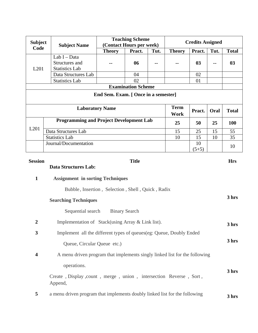| <b>Subject</b>                                                                                        |                                                                              | <b>Teaching Scheme</b><br>(Contact Hours per week) |                           |       | <b>Credits Assigned</b>    |         |      |              |
|-------------------------------------------------------------------------------------------------------|------------------------------------------------------------------------------|----------------------------------------------------|---------------------------|-------|----------------------------|---------|------|--------------|
| Code                                                                                                  | <b>Subject Name</b>                                                          | <b>Theory</b>                                      | Pract.                    | Tut.  | <b>Theory</b>              | Pract.  | Tut. | <b>Total</b> |
|                                                                                                       | Lab I - Data                                                                 |                                                    |                           |       |                            |         |      |              |
|                                                                                                       | Structures and                                                               |                                                    | 06                        |       |                            | 03      |      | 03           |
| L201                                                                                                  | <b>Statistics Lab</b>                                                        |                                                    |                           |       |                            |         |      |              |
|                                                                                                       | Data Structures Lab                                                          |                                                    | 04                        |       |                            | 02      |      |              |
|                                                                                                       | <b>Statistics Lab</b>                                                        |                                                    | 02                        |       |                            | 01      |      |              |
|                                                                                                       |                                                                              |                                                    | <b>Examination Scheme</b> |       |                            |         |      |              |
|                                                                                                       |                                                                              | End Sem. Exam. [ Once in a semester]               |                           |       |                            |         |      |              |
|                                                                                                       | <b>Laboratory Name</b>                                                       |                                                    |                           |       | <b>Term</b><br><b>Work</b> | Pract.  | Oral | <b>Total</b> |
|                                                                                                       | <b>Programming and Project Development Lab</b>                               |                                                    |                           |       | 25                         | 50      | 25   | <b>100</b>   |
| L201                                                                                                  | Data Structures Lab                                                          |                                                    |                           |       | 15                         | 25      | 15   | 55           |
|                                                                                                       | <b>Statistics Lab</b>                                                        |                                                    |                           |       | 10                         | 15      | 10   | 35           |
|                                                                                                       | Journal/Documentation                                                        |                                                    |                           |       |                            | 10      |      | 10           |
|                                                                                                       |                                                                              |                                                    |                           |       |                            | $(5+5)$ |      |              |
| <b>Session</b>                                                                                        |                                                                              |                                                    | <b>Title</b>              |       |                            |         |      | <b>Hrs</b>   |
| <b>Data Structures Lab:</b>                                                                           |                                                                              |                                                    |                           |       |                            |         |      |              |
| $\mathbf{1}$                                                                                          | <b>Assignment in sorting Techniques</b>                                      |                                                    |                           |       |                            |         |      |              |
|                                                                                                       | Bubble, Insertion, Selection, Shell, Quick, Radix                            |                                                    |                           |       |                            |         |      |              |
| <b>Searching Techniques</b>                                                                           |                                                                              |                                                    |                           | 3 hrs |                            |         |      |              |
| Sequential search<br><b>Binary Search</b>                                                             |                                                                              |                                                    |                           |       |                            |         |      |              |
| $\boldsymbol{2}$                                                                                      | Implementation of Stack(using Array & Link list).                            |                                                    |                           |       |                            | 3 hrs   |      |              |
| $\mathbf{3}$                                                                                          | Implement all the different types of queues(eg: Queue, Doubly Ended          |                                                    |                           |       |                            |         |      |              |
|                                                                                                       | Queue, Circular Queue etc.)                                                  |                                                    |                           |       |                            |         |      | 3 hrs        |
| A menu driven program that implements singly linked list for the following<br>$\overline{\mathbf{4}}$ |                                                                              |                                                    |                           |       |                            |         |      |              |
| operations.                                                                                           |                                                                              |                                                    |                           |       |                            |         |      |              |
|                                                                                                       | Create, Display, count, merge, union, intersection Reverse, Sort,<br>Append, |                                                    |                           |       |                            |         |      | 3 hrs        |
| 5                                                                                                     | a menu driven program that implements doubly linked list for the following   |                                                    |                           |       |                            | 3 hrs   |      |              |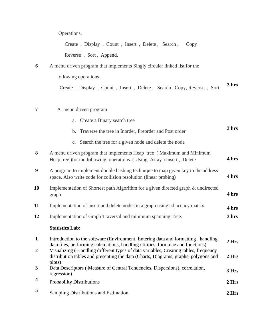Operations.

Create , Display , Count , Insert , Delete , Search , Copy

Reverse , Sort , Append,

**6** A menu driven program that implements Singly circular linked list for the

following operations.

Create , Display , Count , Insert , Delete , Search , Copy, Reverse , Sort **3 hrs** 

### **7 A** menu driven program

- a. Create a Binary search tree
- b. Traverse the tree in Inorder, Preorder and Post order

**3 hrs** 

c. Search the tree for a given node and delete the node

| 8              | A menu driven program that implements Heap tree (Maximum and Minimum<br>Heap tree ) for the following operations. (Using Array) Insert, Delete                                       | 4 hrs            |
|----------------|--------------------------------------------------------------------------------------------------------------------------------------------------------------------------------------|------------------|
| 9              | A program to implement double hashing technique to map given key to the address<br>space. Also write code for collision resolution (linear probing)                                  | 4 hrs            |
| 10             | Implementation of Shortest path Algorithm for a given directed graph & undirected<br>graph.                                                                                          | 4 hrs            |
| 11             | Implementation of insert and delete nodes in a graph using adjacency matrix                                                                                                          | 4 hrs            |
| 12             | Implementation of Graph Traversal and minimum spanning Tree.                                                                                                                         | 3 hrs            |
|                | <b>Statistics Lab:</b>                                                                                                                                                               |                  |
| $\mathbf{1}$   | Introduction to the software (Environment, Entering data and formatting, handling<br>data files, performing calculations, handling utilities, formulae and functions)                | 2 <sub>Hrs</sub> |
| $\overline{2}$ | Visualizing (Handling different types of data variables, Creating tables, frequency<br>distribution tables and presenting the data (Charts, Diagrams, graphs, polygons and<br>plots) | 2 Hrs            |

- **3** Data Descriptors ( Measure of Central Tendencies, Dispersions), correlation, regression) **3 Hrs**
- **<sup>4</sup>**Probability Distributions **2 Hrs <sup>5</sup>**Sampling Distributions and Estimation **2 Hrs**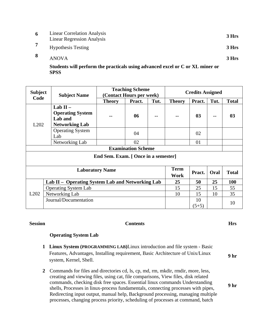| 6 | <b>Linear Correlation Analysis</b><br><b>Linear Regression Analysis</b> | 3 Hrs |
|---|-------------------------------------------------------------------------|-------|
|   | <b>Hypothesis Testing</b>                                               | 3 Hrs |
| 8 | <b>ANOVA</b>                                                            | 3 Hrs |

**Students will perform the practicals using advanced excel or C or XL miner or SPSS** 

| <b>Subject</b>            | <b>Subject Name</b>                                                       | <b>Teaching Scheme</b><br>(Contact Hours per week) |        |      | <b>Credits Assigned</b> |               |      |                |
|---------------------------|---------------------------------------------------------------------------|----------------------------------------------------|--------|------|-------------------------|---------------|------|----------------|
| Code                      |                                                                           | <b>Theory</b>                                      | Pract. | Tut. | <b>Theory</b>           | Pract.        | Tut. | <b>Total</b>   |
| L <sub>2</sub> 02         | Lab $II -$<br><b>Operating System</b><br>Lab and<br><b>Networking Lab</b> |                                                    | 06     |      |                         | 03            | $-$  | 0 <sub>3</sub> |
|                           | <b>Operating System</b><br>Lab                                            |                                                    | 04     |      |                         | 02            |      |                |
|                           | Networking Lab                                                            |                                                    | 02     |      |                         | 01            |      |                |
| <b>Examination Scheme</b> |                                                                           |                                                    |        |      |                         |               |      |                |
|                           | End Sem. Exam. [ Once in a semester]                                      |                                                    |        |      |                         |               |      |                |
|                           |                                                                           | <b>Laboratory Name</b>                             |        |      | <b>Term</b>             | Pract.        | Oral | <b>Total</b>   |
|                           |                                                                           |                                                    |        |      | Work                    |               |      |                |
|                           | Lab II – Operating System Lab and Networking Lab                          |                                                    |        |      | 25                      | 50            | 25   | <b>100</b>     |
|                           | <b>Operating System Lab</b>                                               |                                                    |        |      |                         |               | 15   | 55             |
| L <sub>202</sub>          | Networking Lab                                                            |                                                    |        |      | 10                      | 15            | 10   | 35             |
|                           | Journal/Documentation                                                     |                                                    |        |      |                         | 10<br>$(5+5)$ |      | 10             |

### **Session Contents Hrs**

### **Operating System Lab**

- **1 Linux System (PROGRAMMING LAB)**Linux introduction and file system Basic Features, Advantages, Installing requirement, Basic Architecture of Unix/Linux system, Kernel, Shell. **9 hr**
- **2** Commands for files and directories cd, ls, cp, md, rm, mkdir, rmdir, more, less, creating and viewing files, using cat, file comparisons, View files, disk related commands, checking disk free spaces. Essential linux commands Understanding shells, Processes in linux-process fundamentals, connecting processes with pipes, Redirecting input output, manual help, Background processing, managing multiple processes, changing process priority, scheduling of processes at command, batch **9 hr**